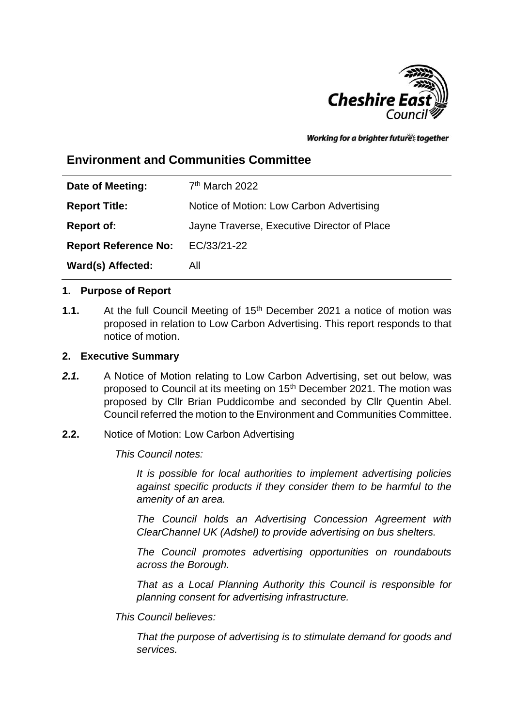

Working for a brighter future together

# **Environment and Communities Committee**

| Date of Meeting:            | $7th$ March 2022                            |
|-----------------------------|---------------------------------------------|
| <b>Report Title:</b>        | Notice of Motion: Low Carbon Advertising    |
| <b>Report of:</b>           | Jayne Traverse, Executive Director of Place |
| <b>Report Reference No:</b> | EC/33/21-22                                 |
| Ward(s) Affected:           | All                                         |

#### **1. Purpose of Report**

**1.1.** At the full Council Meeting of 15<sup>th</sup> December 2021 a notice of motion was proposed in relation to Low Carbon Advertising. This report responds to that notice of motion.

#### **2. Executive Summary**

- *2.1.* A Notice of Motion relating to Low Carbon Advertising, set out below, was proposed to Council at its meeting on 15<sup>th</sup> December 2021. The motion was proposed by Cllr Brian Puddicombe and seconded by Cllr Quentin Abel. Council referred the motion to the Environment and Communities Committee.
- **2.2.** Notice of Motion: Low Carbon Advertising

*This Council notes:*

*It is possible for local authorities to implement advertising policies against specific products if they consider them to be harmful to the amenity of an area.*

*The Council holds an Advertising Concession Agreement with ClearChannel UK (Adshel) to provide advertising on bus shelters.*

*The Council promotes advertising opportunities on roundabouts across the Borough.*

*That as a Local Planning Authority this Council is responsible for planning consent for advertising infrastructure.*

*This Council believes:*

*That the purpose of advertising is to stimulate demand for goods and services.*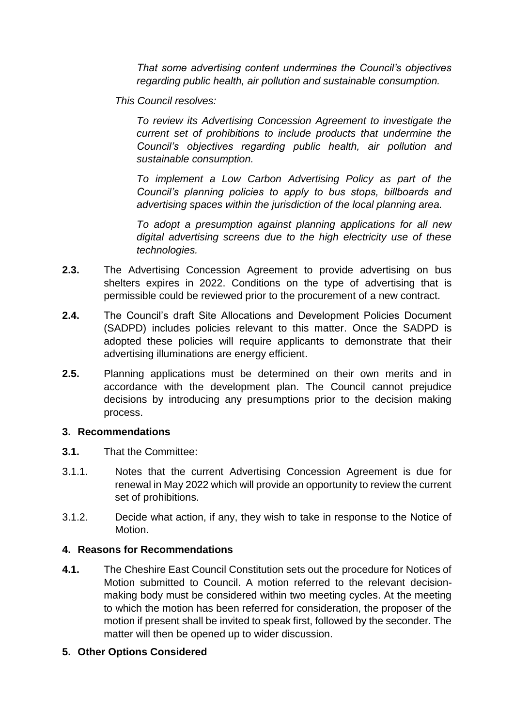*That some advertising content undermines the Council's objectives regarding public health, air pollution and sustainable consumption.*

*This Council resolves:*

*To review its Advertising Concession Agreement to investigate the current set of prohibitions to include products that undermine the Council's objectives regarding public health, air pollution and sustainable consumption.*

*To implement a Low Carbon Advertising Policy as part of the Council's planning policies to apply to bus stops, billboards and advertising spaces within the jurisdiction of the local planning area.*

*To adopt a presumption against planning applications for all new digital advertising screens due to the high electricity use of these technologies.*

- **2.3.** The Advertising Concession Agreement to provide advertising on bus shelters expires in 2022. Conditions on the type of advertising that is permissible could be reviewed prior to the procurement of a new contract.
- **2.4.** The Council's draft Site Allocations and Development Policies Document (SADPD) includes policies relevant to this matter. Once the SADPD is adopted these policies will require applicants to demonstrate that their advertising illuminations are energy efficient.
- **2.5.** Planning applications must be determined on their own merits and in accordance with the development plan. The Council cannot prejudice decisions by introducing any presumptions prior to the decision making process.

#### **3. Recommendations**

- **3.1.** That the Committee:
- 3.1.1. Notes that the current Advertising Concession Agreement is due for renewal in May 2022 which will provide an opportunity to review the current set of prohibitions.
- 3.1.2. Decide what action, if any, they wish to take in response to the Notice of Motion.

#### **4. Reasons for Recommendations**

**4.1.** The Cheshire East Council Constitution sets out the procedure for Notices of Motion submitted to Council. A motion referred to the relevant decisionmaking body must be considered within two meeting cycles. At the meeting to which the motion has been referred for consideration, the proposer of the motion if present shall be invited to speak first, followed by the seconder. The matter will then be opened up to wider discussion.

#### **5. Other Options Considered**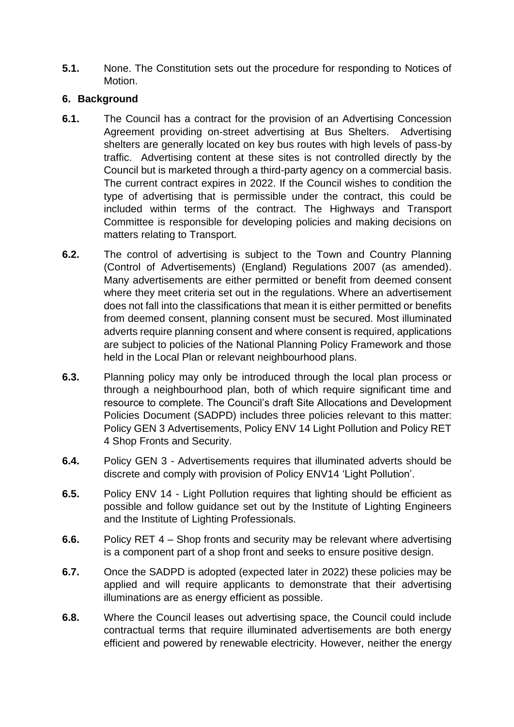**5.1.** None. The Constitution sets out the procedure for responding to Notices of Motion.

#### **6. Background**

- **6.1.** The Council has a contract for the provision of an Advertising Concession Agreement providing on-street advertising at Bus Shelters. Advertising shelters are generally located on key bus routes with high levels of pass-by traffic. Advertising content at these sites is not controlled directly by the Council but is marketed through a third-party agency on a commercial basis. The current contract expires in 2022. If the Council wishes to condition the type of advertising that is permissible under the contract, this could be included within terms of the contract. The Highways and Transport Committee is responsible for developing policies and making decisions on matters relating to Transport.
- **6.2.** The control of advertising is subject to the Town and Country Planning (Control of Advertisements) (England) Regulations 2007 (as amended). Many advertisements are either permitted or benefit from deemed consent where they meet criteria set out in the regulations. Where an advertisement does not fall into the classifications that mean it is either permitted or benefits from deemed consent, planning consent must be secured. Most illuminated adverts require planning consent and where consent is required, applications are subject to policies of the National Planning Policy Framework and those held in the Local Plan or relevant neighbourhood plans.
- **6.3.** Planning policy may only be introduced through the local plan process or through a neighbourhood plan, both of which require significant time and resource to complete. The Council's draft Site Allocations and Development Policies Document (SADPD) includes three policies relevant to this matter: Policy GEN 3 Advertisements, Policy ENV 14 Light Pollution and Policy RET 4 Shop Fronts and Security.
- **6.4.** Policy GEN 3 Advertisements requires that illuminated adverts should be discrete and comply with provision of Policy ENV14 'Light Pollution'.
- **6.5.** Policy ENV 14 Light Pollution requires that lighting should be efficient as possible and follow guidance set out by the Institute of Lighting Engineers and the Institute of Lighting Professionals.
- **6.6.** Policy RET 4 Shop fronts and security may be relevant where advertising is a component part of a shop front and seeks to ensure positive design.
- **6.7.** Once the SADPD is adopted (expected later in 2022) these policies may be applied and will require applicants to demonstrate that their advertising illuminations are as energy efficient as possible.
- **6.8.** Where the Council leases out advertising space, the Council could include contractual terms that require illuminated advertisements are both energy efficient and powered by renewable electricity. However, neither the energy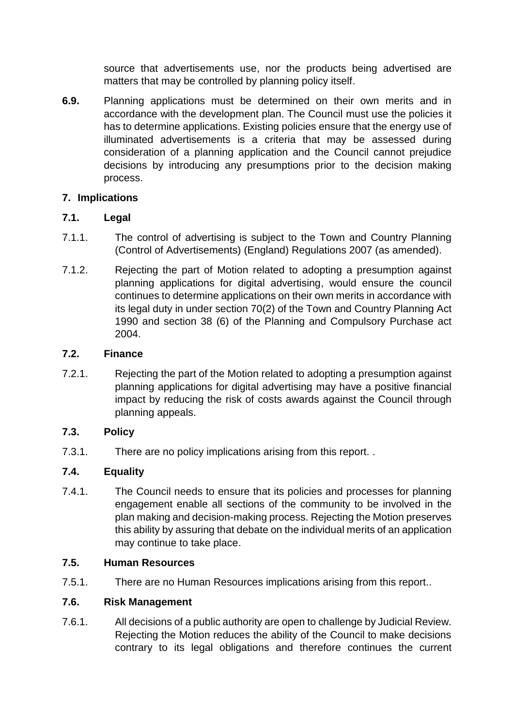source that advertisements use, nor the products being advertised are matters that may be controlled by planning policy itself.

**6.9.** Planning applications must be determined on their own merits and in accordance with the development plan. The Council must use the policies it has to determine applications. Existing policies ensure that the energy use of illuminated advertisements is a criteria that may be assessed during consideration of a planning application and the Council cannot prejudice decisions by introducing any presumptions prior to the decision making process.

## **7. Implications**

### **7.1. Legal**

- 7.1.1. The control of advertising is subject to the Town and Country Planning (Control of Advertisements) (England) Regulations 2007 (as amended).
- 7.1.2. Rejecting the part of Motion related to adopting a presumption against planning applications for digital advertising, would ensure the council continues to determine applications on their own merits in accordance with its legal duty in under section 70(2) of the Town and Country Planning Act 1990 and section 38 (6) of the Planning and Compulsory Purchase act 2004.

### **7.2. Finance**

7.2.1. Rejecting the part of the Motion related to adopting a presumption against planning applications for digital advertising may have a positive financial impact by reducing the risk of costs awards against the Council through planning appeals.

### **7.3. Policy**

7.3.1. There are no policy implications arising from this report. .

## **7.4. Equality**

7.4.1. The Council needs to ensure that its policies and processes for planning engagement enable all sections of the community to be involved in the plan making and decision-making process. Rejecting the Motion preserves this ability by assuring that debate on the individual merits of an application may continue to take place.

### **7.5. Human Resources**

7.5.1. There are no Human Resources implications arising from this report..

### **7.6. Risk Management**

7.6.1. All decisions of a public authority are open to challenge by Judicial Review. Rejecting the Motion reduces the ability of the Council to make decisions contrary to its legal obligations and therefore continues the current